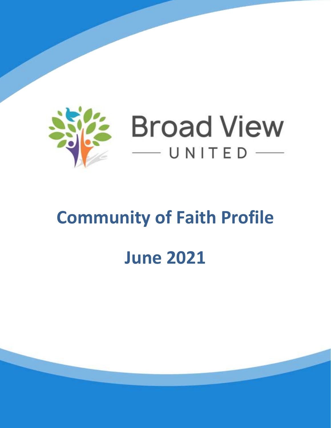

# **Community of Faith Profile June 2021**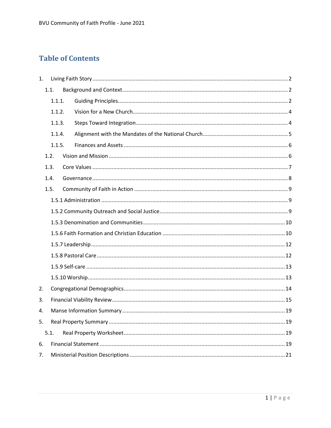# **Table of Contents**

| 1. |      |        |  |
|----|------|--------|--|
|    | 1.1. |        |  |
|    |      | 1.1.1. |  |
|    |      | 1.1.2. |  |
|    |      | 1.1.3. |  |
|    |      | 1.1.4. |  |
|    |      | 1.1.5. |  |
|    | 1.2. |        |  |
|    | 1.3. |        |  |
|    | 1.4. |        |  |
|    | 1.5. |        |  |
|    |      |        |  |
|    |      |        |  |
|    |      |        |  |
|    |      |        |  |
|    |      |        |  |
|    |      |        |  |
|    |      |        |  |
|    |      |        |  |
| 2. |      |        |  |
| 3. |      |        |  |
| 4. |      |        |  |
| 5. |      |        |  |
|    | 5.1. |        |  |
| 6. |      |        |  |
| 7. |      |        |  |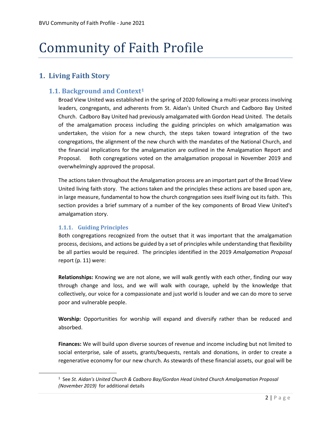# Community of Faith Profile

# <span id="page-2-0"></span>**1. Living Faith Story**

# <span id="page-2-1"></span>**1.1. Background and Context<sup>1</sup>**

Broad View United was established in the spring of 2020 following a multi-year process involving leaders, congregants, and adherents from St. Aidan's United Church and Cadboro Bay United Church. Cadboro Bay United had previously amalgamated with Gordon Head United. The details of the amalgamation process including the guiding principles on which amalgamation was undertaken, the vision for a new church, the steps taken toward integration of the two congregations, the alignment of the new church with the mandates of the National Church, and the financial implications for the amalgamation are outlined in the Amalgamation Report and Proposal. Both congregations voted on the amalgamation proposal in November 2019 and overwhelmingly approved the proposal.

The actions taken throughout the Amalgamation process are an important part of the Broad View United living faith story. The actions taken and the principles these actions are based upon are, in large measure, fundamental to how the church congregation sees itself living out its faith. This section provides a brief summary of a number of the key components of Broad View United's amalgamation story.

#### <span id="page-2-2"></span>**1.1.1. Guiding Principles**

 $\overline{\phantom{a}}$ 

Both congregations recognized from the outset that it was important that the amalgamation process, decisions, and actions be guided by a set of principles while understanding that flexibility be all parties would be required. The principles identified in the 2019 *Amalgamation Proposal*  report (p. 11) were:

**Relationships:** Knowing we are not alone, we will walk gently with each other, finding our way through change and loss, and we will walk with courage, upheld by the knowledge that collectively, our voice for a compassionate and just world is louder and we can do more to serve poor and vulnerable people.

**Worship:** Opportunities for worship will expand and diversify rather than be reduced and absorbed.

**Finances:** We will build upon diverse sources of revenue and income including but not limited to social enterprise, sale of assets, grants/bequests, rentals and donations, in order to create a regenerative economy for our new church. As stewards of these financial assets, our goal will be

<sup>1</sup> See *St. Aidan's United Church & Cadboro Bay/Gordon Head United Church Amalgamation Proposal (November 2019)* for additional details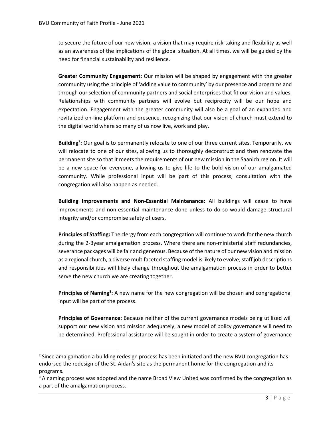$\overline{\phantom{a}}$ 

to secure the future of our new vision, a vision that may require risk-taking and flexibility as well as an awareness of the implications of the global situation. At all times, we will be guided by the need for financial sustainability and resilience.

**Greater Community Engagement:** Our mission will be shaped by engagement with the greater community using the principle of 'adding value to community' by our presence and programs and through our selection of community partners and social enterprises that fit our vision and values. Relationships with community partners will evolve but reciprocity will be our hope and expectation. Engagement with the greater community will also be a goal of an expanded and revitalized on-line platform and presence, recognizing that our vision of church must extend to the digital world where so many of us now live, work and play.

**Building<sup>2</sup> :** Our goal is to permanently relocate to one of our three current sites. Temporarily, we will relocate to one of our sites, allowing us to thoroughly deconstruct and then renovate the permanent site so that it meets the requirements of our new mission in the Saanich region. It will be a new space for everyone, allowing us to give life to the bold vision of our amalgamated community. While professional input will be part of this process, consultation with the congregation will also happen as needed.

**Building Improvements and Non-Essential Maintenance:** All buildings will cease to have improvements and non-essential maintenance done unless to do so would damage structural integrity and/or compromise safety of users.

**Principles of Staffing:** The clergy from each congregation will continue to work for the new church during the 2-3year amalgamation process. Where there are non-ministerial staff redundancies, severance packages will be fair and generous. Because of the nature of our new vision and mission as a regional church, a diverse multifaceted staffing model is likely to evolve; staff job descriptions and responsibilities will likely change throughout the amalgamation process in order to better serve the new church we are creating together.

Principles of Naming<sup>3</sup>: A new name for the new congregation will be chosen and congregational input will be part of the process.

**Principles of Governance:** Because neither of the current governance models being utilized will support our new vision and mission adequately, a new model of policy governance will need to be determined. Professional assistance will be sought in order to create a system of governance

 $<sup>2</sup>$  Since amalgamation a building redesign process has been initiated and the new BVU congregation has</sup> endorsed the redesign of the St. Aidan's site as the permanent home for the congregation and its programs.

<sup>&</sup>lt;sup>3</sup> A naming process was adopted and the name Broad View United was confirmed by the congregation as a part of the amalgamation process.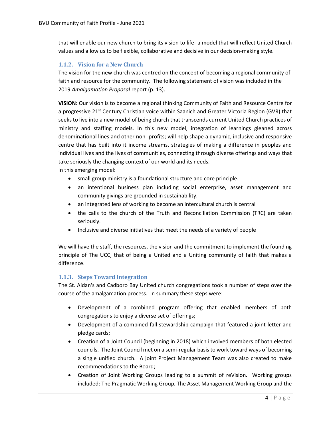that will enable our new church to bring its vision to life- a model that will reflect United Church values and allow us to be flexible, collaborative and decisive in our decision-making style.

#### <span id="page-4-0"></span>**1.1.2. Vision for a New Church**

The vision for the new church was centred on the concept of becoming a regional community of faith and resource for the community. The following statement of vision was included in the 2019 *Amalgamation Proposal* report (p. 13).

**VISION:** Our vision is to become a regional thinking Community of Faith and Resource Centre for a progressive 21<sup>st</sup> Century Christian voice within Saanich and Greater Victoria Region (GVR) that seeks to live into a new model of being church that transcends current United Church practices of ministry and staffing models. In this new model, integration of learnings gleaned across denominational lines and other non- profits; will help shape a dynamic, inclusive and responsive centre that has built into it income streams, strategies of making a difference in peoples and individual lives and the lives of communities, connecting through diverse offerings and ways that take seriously the changing context of our world and its needs.

In this emerging model:

- small group ministry is a foundational structure and core principle.
- an intentional business plan including social enterprise, asset management and community givings are grounded in sustainability.
- an integrated lens of working to become an intercultural church is central
- the calls to the church of the Truth and Reconciliation Commission (TRC) are taken seriously.
- Inclusive and diverse initiatives that meet the needs of a variety of people

We will have the staff, the resources, the vision and the commitment to implement the founding principle of The UCC, that of being a United and a Uniting community of faith that makes a difference.

#### <span id="page-4-1"></span>**1.1.3. Steps Toward Integration**

The St. Aidan's and Cadboro Bay United church congregations took a number of steps over the course of the amalgamation process. In summary these steps were:

- Development of a combined program offering that enabled members of both congregations to enjoy a diverse set of offerings;
- Development of a combined fall stewardship campaign that featured a joint letter and pledge cards;
- Creation of a Joint Council (beginning in 2018) which involved members of both elected councils. The Joint Council met on a semi-regular basis to work toward ways of becoming a single unified church. A joint Project Management Team was also created to make recommendations to the Board;
- Creation of Joint Working Groups leading to a summit of reVision. Working groups included: The Pragmatic Working Group, The Asset Management Working Group and the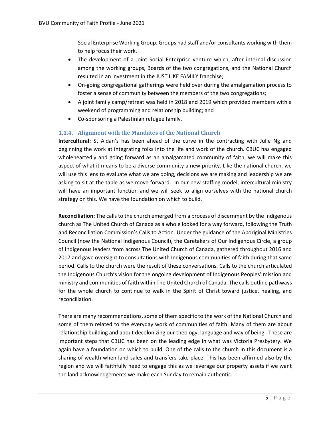Social Enterprise Working Group. Groups had staff and/or consultants working with them to help focus their work.

- The development of a Joint Social Enterprise venture which, after internal discussion among the working groups, Boards of the two congregations, and the National Church resulted in an investment in the JUST LIKE FAMILY franchise;
- On-going congregational gatherings were held over during the amalgamation process to foster a sense of community between the members of the two congregations;
- A joint family camp/retreat was held in 2018 and 2019 which provided members with a weekend of programming and relationship building; and
- Co-sponsoring a Palestinian refugee family.

#### <span id="page-5-0"></span>**1.1.4. Alignment with the Mandates of the National Church**

**Intercultural:** St Aidan's has been ahead of the curve in the contracting with Julie Ng and beginning the work at integrating folks into the life and work of the church. CBUC has engaged wholeheartedly and going forward as an amalgamated community of faith, we will make this aspect of what it means to be a diverse community a new priority. Like the national church, we will use this lens to evaluate what we are doing, decisions we are making and leadership we are asking to sit at the table as we move forward. In our new staffing model, intercultural ministry will have an important function and we will seek to align ourselves with the national church strategy on this. We have the foundation on which to build.

**Reconciliation:** The calls to the church emerged from a process of discernment by the Indigenous church as The United Church of Canada as a whole looked for a way forward, following the Truth and Reconciliation Commission's Calls to Action. Under the guidance of the Aboriginal Ministries Council (now the National Indigenous Council), the Caretakers of Our Indigenous Circle, a group of Indigenous leaders from across The United Church of Canada, gathered throughout 2016 and 2017 and gave oversight to consultations with Indigenous communities of faith during that same period. Calls to the church were the result of these conversations. Calls to the church articulated the Indigenous Church's vision for the ongoing development of Indigenous Peoples' mission and ministry and communities of faith within The United Church of Canada. The calls outline pathways for the whole church to continue to walk in the Spirit of Christ toward justice, healing, and reconciliation.

There are many recommendations, some of them specific to the work of the National Church and some of them related to the everyday work of communities of faith. Many of them are about relationship building and about decolonizing our theology, language and way of being. These are important steps that CBUC has been on the leading edge in what was Victoria Presbytery. We again have a foundation on which to build. One of the calls to the church in this document is a sharing of wealth when land sales and transfers take place. This has been affirmed also by the region and we will faithfully need to engage this as we leverage our property assets if we want the land acknowledgements we make each Sunday to remain authentic.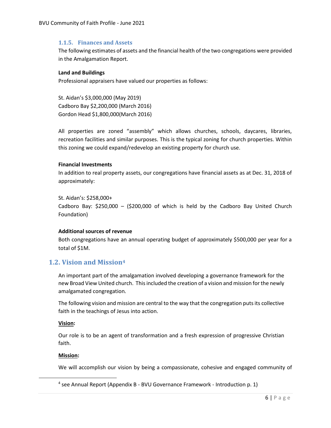#### <span id="page-6-0"></span>**1.1.5. Finances and Assets**

The following estimates of assets and the financial health of the two congregations were provided in the Amalgamation Report.

#### **Land and Buildings**

Professional appraisers have valued our properties as follows:

St. Aidan's \$3,000,000 (May 2019) Cadboro Bay \$2,200,000 (March 2016) Gordon Head \$1,800,000(March 2016)

All properties are zoned "assembly" which allows churches, schools, daycares, libraries, recreation facilities and similar purposes. This is the typical zoning for church properties. Within this zoning we could expand/redevelop an existing property for church use.

#### **Financial Investments**

In addition to real property assets, our congregations have financial assets as at Dec. 31, 2018 of approximately:

St. Aidan's: \$258,000+ Cadboro Bay:  $$250,000 - ($200,000$  of which is held by the Cadboro Bay United Church Foundation)

#### **Additional sources of revenue**

Both congregations have an annual operating budget of approximately \$500,000 per year for a total of \$1M.

# <span id="page-6-1"></span>**1.2. Vision and Mission<sup>4</sup>**

An important part of the amalgamation involved developing a governance framework for the new Broad View United church. Thisincluded the creation of a vision and mission for the newly amalgamated congregation.

The following vision and mission are central to the way that the congregation puts its collective faith in the teachings of Jesus into action.

#### **Vision:**

Our role is to be an agent of transformation and a fresh expression of progressive Christian faith.

#### **Mission:**

l

We will accomplish our vision by being a compassionate, cohesive and engaged community of

<sup>&</sup>lt;sup>4</sup> see Annual Report (Appendix B - BVU Governance Framework - Introduction p. 1)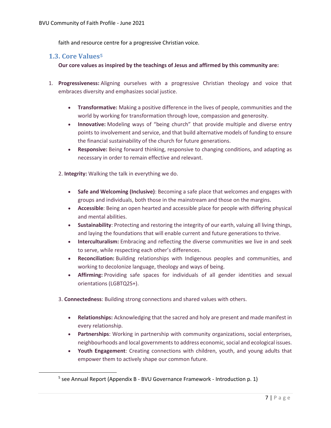<span id="page-7-0"></span>faith and resource centre for a progressive Christian voice.

# **1.3. Core Values<sup>5</sup>**

 $\overline{\phantom{a}}$ 

**Our core values as inspired by the teachings of Jesus and affirmed by this community are:**

- 1. **Progressiveness:** Aligning ourselves with a progressive Christian theology and voice that embraces diversity and emphasizes social justice.
	- **Transformative:** Making a positive difference in the lives of people, communities and the world by working for transformation through love, compassion and generosity.
	- **Innovative:** Modeling ways of "being church" that provide multiple and diverse entry points to involvement and service, and that build alternative models of funding to ensure the financial sustainability of the church for future generations.
	- **Responsive:** Being forward thinking, responsive to changing conditions, and adapting as necessary in order to remain effective and relevant.

2. **Integrity:** Walking the talk in everything we do.

- **Safe and Welcoming (Inclusive)**: Becoming a safe place that welcomes and engages with groups and individuals, both those in the mainstream and those on the margins.
- **Accessible**: Being an open hearted and accessible place for people with differing physical and mental abilities.
- **Sustainability**: Protecting and restoring the integrity of our earth, valuing all living things, and laying the foundations that will enable current and future generations to thrive.
- **Interculturalism:** Embracing and reflecting the diverse communities we live in and seek to serve, while respecting each other's differences.
- **Reconciliation:** Building relationships with Indigenous peoples and communities, and working to decolonize language, theology and ways of being.
- **Affirming:** Providing safe spaces for individuals of all gender identities and sexual orientations (LGBTQ2S+).

3. **Connectedness**: Building strong connections and shared values with others.

- **Relationships:** Acknowledging that the sacred and holy are present and made manifest in every relationship.
- **Partnerships**: Working in partnership with community organizations, social enterprises, neighbourhoods and local governments to address economic, social and ecological issues.
- **Youth Engagement**: Creating connections with children, youth, and young adults that empower them to actively shape our common future.

<sup>&</sup>lt;sup>5</sup> see Annual Report (Appendix B - BVU Governance Framework - Introduction p. 1)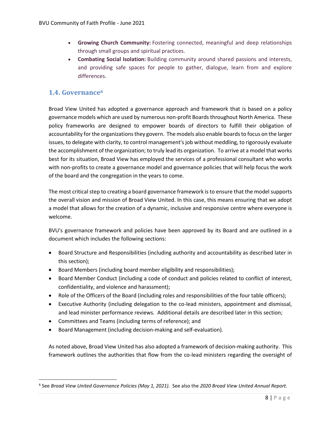- **Growing Church Community:** Fostering connected, meaningful and deep relationships through small groups and spiritual practices.
- **Combating Social Isolation:** Building community around shared passions and interests, and providing safe spaces for people to gather, dialogue, learn from and explore differences.

# <span id="page-8-0"></span>**1.4. Governance<sup>6</sup>**

 $\overline{\phantom{a}}$ 

Broad View United has adopted a governance approach and framework that is based on a policy governance models which are used by numerous non-profit Boards throughout North America. These policy frameworks are designed to empower boards of directors to fulfill their obligation of accountability for the organizations they govern. The models also enable boards to focus on the larger issues, to delegate with clarity, to control management's job without meddling, to rigorously evaluate the accomplishment of the organization; to truly lead its organization. To arrive at a model that works best for its situation, Broad View has employed the services of a professional consultant who works with non-profits to create a governance model and governance policies that will help focus the work of the board and the congregation in the years to come.

The most critical step to creating a board governance framework is to ensure that the model supports the overall vision and mission of Broad View United. In this case, this means ensuring that we adopt a model that allows for the creation of a dynamic, inclusive and responsive centre where everyone is welcome.

BVU's governance framework and policies have been approved by its Board and are outlined in a document which includes the following sections:

- Board Structure and Responsibilities (including authority and accountability as described later in this section);
- Board Members (including board member eligibility and responsibilities);
- Board Member Conduct (including a code of conduct and policies related to conflict of interest, confidentiality, and violence and harassment);
- Role of the Officers of the Board (including roles and responsibilities of the four table officers);
- Executive Authority (including delegation to the co-lead ministers, appointment and dismissal, and lead minister performance reviews. Additional details are described later in this section;
- Committees and Teams (including terms of reference); and
- Board Management (including decision-making and self-evaluation).

As noted above, Broad View United has also adopted a framework of decision-making authority. This framework outlines the authorities that flow from the co-lead ministers regarding the oversight of

<sup>6</sup> See *Broad View United Governance Policies (May 1, 2021).* See also the *2020 Broad View United Annual Report.*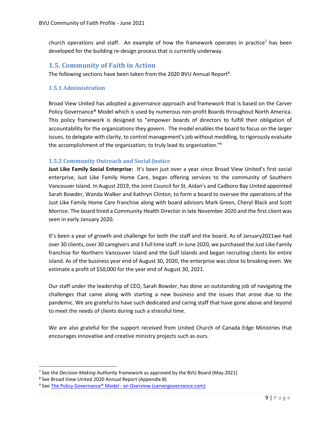church operations and staff. An example of how the framework operates in practice<sup>7</sup> has been developed for the building re-design process that is currently underway.

# <span id="page-9-0"></span>**1.5. Community of Faith in Action**

The following sections have been taken from the 2020 BVU Annual Report<sup>8</sup>.

#### <span id="page-9-1"></span>**1.5.1 Administration**

Broad View United has adopted a governance approach and framework that is based on the Carver Policy Governance® Model which is used by numerous non-profit Boards throughout North America. This policy framework is designed to "empower boards of directors to fulfill their obligation of accountability for the organizations they govern. The model enables the board to focus on the larger issues, to delegate with clarity, to control management's job without meddling, to rigorously evaluate the accomplishment of the organization; to truly lead its organization." 9

#### <span id="page-9-2"></span>**1.5.2 Community Outreach and Social Justice**

**Just Like Family Social Enterprise:** It's been just over a year since Broad View United's first social enterprise, Just Like Family Home Care, began offering services to the community of Southern Vancouver Island. In August 2019, the Joint Council for St. Aidan's and Cadboro Bay United appointed Sarah Bowder, Wanda Walker and Kathryn Clinton, to form a board to oversee the operations of the Just Like Family Home Care franchise along with board advisors Mark Green, Cheryl Black and Scott Morrice. The board hired a Community Health Director in late November 2020 and the first client was seen in early January 2020.

It's been a year of growth and challenge for both the staff and the board. As of January2021we had over 30 clients, over 30 caregivers and 3 full time staff. In June 2020, we purchased the Just Like Family franchise for Northern Vancouver Island and the Gulf Islands and began recruiting clients for entire island. As of the business year end of August 30, 2020, the enterprise was close to breaking even. We estimate a profit of \$50,000 for the year end of August 30, 2021.

Our staff under the leadership of CEO, Sarah Bowder, has done an outstanding job of navigating the challenges that came along with starting a new business and the issues that arose due to the pandemic. We are grateful to have such dedicated and caring staff that have gone above and beyond to meet the needs of clients during such a stressful time.

We are also grateful for the support received from United Church of Canada Edge Ministries that encourages innovative and creative ministry projects such as ours.

 $\overline{a}$ 

<sup>7</sup> See the *Decision Making Authority* framework as approved by the BVU Board (May 2021)

<sup>&</sup>lt;sup>8</sup> See Broad View United 2020 Annual Report (Appendix B)

<sup>&</sup>lt;sup>9</sup> See **The Policy Governance® Model - [an Overview \(carvergovernance.com\)](https://www.carvergovernance.com/model.htm)**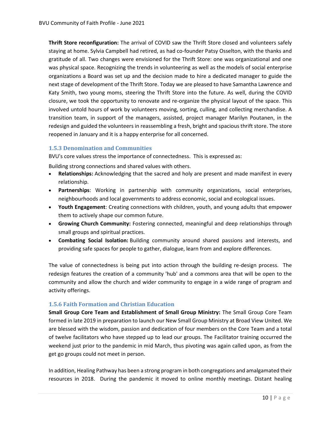**Thrift Store reconfiguration:** The arrival of COVID saw the Thrift Store closed and volunteers safely staying at home. Sylvia Campbell had retired, as had co-founder Patsy Osselton, with the thanks and gratitude of all. Two changes were envisioned for the Thrift Store: one was organizational and one was physical space. Recognizing the trends in volunteering as well as the models of social enterprise organizations a Board was set up and the decision made to hire a dedicated manager to guide the next stage of development of the Thrift Store. Today we are pleased to have Samantha Lawrence and Katy Smith, two young moms, steering the Thrift Store into the future. As well, during the COVID closure, we took the opportunity to renovate and re-organize the physical layout of the space. This involved untold hours of work by volunteers moving, sorting, culling, and collecting merchandise. A transition team, in support of the managers, assisted, project manager Marilyn Poutanen, in the redesign and guided the volunteers in reassembling a fresh, bright and spacious thrift store. The store reopened in January and it is a happy enterprise for all concerned.

#### <span id="page-10-0"></span>**1.5.3 Denomination and Communities**

BVU's core values stress the importance of connectedness. This is expressed as:

Building strong connections and shared values with others.

- **Relationships:** Acknowledging that the sacred and holy are present and made manifest in every relationship.
- **Partnerships**: Working in partnership with community organizations, social enterprises, neighbourhoods and local governments to address economic, social and ecological issues.
- **Youth Engagement**: Creating connections with children, youth, and young adults that empower them to actively shape our common future.
- **Growing Church Community:** Fostering connected, meaningful and deep relationships through small groups and spiritual practices.
- **Combating Social Isolation:** Building community around shared passions and interests, and providing safe spaces for people to gather, dialogue, learn from and explore differences.

The value of connectedness is being put into action through the building re-design process. The redesign features the creation of a community 'hub' and a commons area that will be open to the community and allow the church and wider community to engage in a wide range of program and activity offerings.

#### <span id="page-10-1"></span>**1.5.6 Faith Formation and Christian Education**

**Small Group Core Team and Establishment of Small Group Ministry:** The Small Group Core Team formed in late 2019 in preparation to launch our New Small Group Ministry at Broad View United. We are blessed with the wisdom, passion and dedication of four members on the Core Team and a total of twelve facilitators who have stepped up to lead our groups. The Facilitator training occurred the weekend just prior to the pandemic in mid March, thus pivoting was again called upon, as from the get go groups could not meet in person.

In addition, Healing Pathway has been a strong program in both congregations and amalgamated their resources in 2018. During the pandemic it moved to online monthly meetings. Distant healing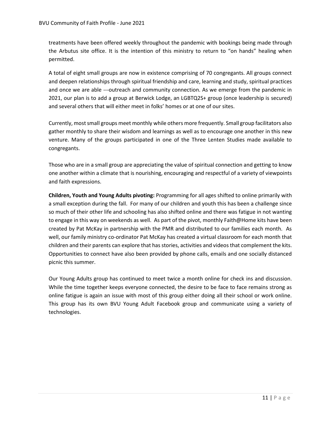treatments have been offered weekly throughout the pandemic with bookings being made through the Arbutus site office. It is the intention of this ministry to return to "on hands" healing when permitted.

A total of eight small groups are now in existence comprising of 70 congregants. All groups connect and deepen relationships through spiritual friendship and care, learning and study, spiritual practices and once we are able ---outreach and community connection. As we emerge from the pandemic in 2021, our plan is to add a group at Berwick Lodge, an LGBTQ2S+ group (once leadership is secured) and several others that will either meet in folks' homes or at one of our sites.

Currently, most small groups meet monthly while others more frequently. Small group facilitators also gather monthly to share their wisdom and learnings as well as to encourage one another in this new venture. Many of the groups participated in one of the Three Lenten Studies made available to congregants.

Those who are in a small group are appreciating the value of spiritual connection and getting to know one another within a climate that is nourishing, encouraging and respectful of a variety of viewpoints and faith expressions.

**Children, Youth and Young Adults pivoting:** Programming for all ages shifted to online primarily with a small exception during the fall. For many of our children and youth this has been a challenge since so much of their other life and schooling has also shifted online and there was fatigue in not wanting to engage in this way on weekends as well. As part of the pivot, monthly Faith@Home kits have been created by Pat McKay in partnership with the PMR and distributed to our families each month. As well, our family ministry co-ordinator Pat McKay has created a virtual classroom for each month that children and their parents can explore that has stories, activities and videos that complement the kits. Opportunities to connect have also been provided by phone calls, emails and one socially distanced picnic this summer.

Our Young Adults group has continued to meet twice a month online for check ins and discussion. While the time together keeps everyone connected, the desire to be face to face remains strong as online fatigue is again an issue with most of this group either doing all their school or work online. This group has its own BVU Young Adult Facebook group and communicate using a variety of technologies.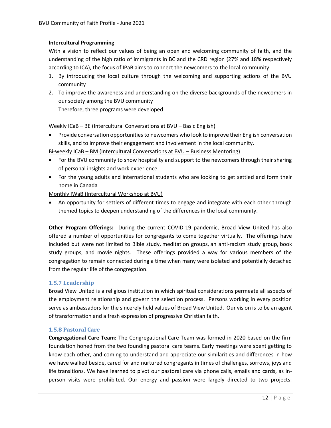#### **Intercultural Programming**

With a vision to reflect our values of being an open and welcoming community of faith, and the understanding of the high ratio of immigrants in BC and the CRD region (27% and 18% respectively according to ICA), the focus of IPaB aims to connect the newcomers to the local community:

- 1. By introducing the local culture through the welcoming and supporting actions of the BVU community
- 2. To improve the awareness and understanding on the diverse backgrounds of the newcomers in our society among the BVU community Therefore, three programs were developed:

Weekly ICaB – BE (Intercultural Conversations at BVU – Basic English)

• Provide conversation opportunities to newcomers who look to improve their English conversation skills, and to improve their engagement and involvement in the local community.

Bi-weekly ICaB – BM (Intercultural Conversations at BVU – Business Mentoring)

- For the BVU community to show hospitality and support to the newcomers through their sharing of personal insights and work experience
- For the young adults and international students who are looking to get settled and form their home in Canada

Monthly IWaB (Intercultural Workshop at BVU)

• An opportunity for settlers of different times to engage and integrate with each other through themed topics to deepen understanding of the differences in the local community.

**Other Program Offerings:** During the current COVID-19 pandemic, Broad View United has also offered a number of opportunities for congregants to come together virtually. The offerings have included but were not limited to Bible study, meditation groups, an anti-racism study group, book study groups, and movie nights. These offerings provided a way for various members of the congregation to remain connected during a time when many were isolated and potentially detached from the regular life of the congregation.

#### <span id="page-12-0"></span>**1.5.7 Leadership**

Broad View United is a religious institution in which spiritual considerations permeate all aspects of the employment relationship and govern the selection process. Persons working in every position serve as ambassadors for the sincerely held values of Broad View United. Our vision is to be an agent of transformation and a fresh expression of progressive Christian faith.

#### <span id="page-12-1"></span>**1.5.8 Pastoral Care**

**Congregational Care Team:** The Congregational Care Team was formed in 2020 based on the firm foundation honed from the two founding pastoral care teams. Early meetings were spent getting to know each other, and coming to understand and appreciate our similarities and differences in how we have walked beside, cared for and nurtured congregants in times of challenges, sorrows, joys and life transitions. We have learned to pivot our pastoral care via phone calls, emails and cards, as inperson visits were prohibited. Our energy and passion were largely directed to two projects: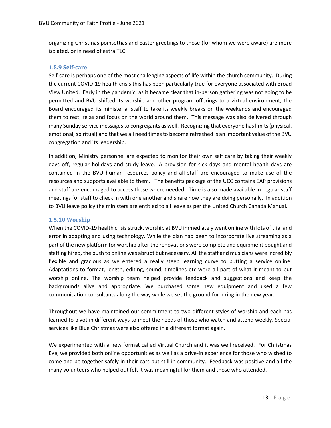organizing Christmas poinsettias and Easter greetings to those (for whom we were aware) are more isolated, or in need of extra TLC.

#### <span id="page-13-0"></span>**1.5.9 Self-care**

Self-care is perhaps one of the most challenging aspects of life within the church community. During the current COVID-19 health crisis this has been particularly true for everyone associated with Broad View United. Early in the pandemic, as it became clear that in-person gathering was not going to be permitted and BVU shifted its worship and other program offerings to a virtual environment, the Board encouraged its ministerial staff to take its weekly breaks on the weekends and encouraged them to rest, relax and focus on the world around them. This message was also delivered through many Sunday service messages to congregants as well. Recognizing that everyone has limits (physical, emotional, spiritual) and that we all need times to become refreshed is an important value of the BVU congregation and its leadership.

In addition, Ministry personnel are expected to monitor their own self care by taking their weekly days off, regular holidays and study leave. A provision for sick days and mental health days are contained in the BVU human resources policy and all staff are encouraged to make use of the resources and supports available to them. The benefits package of the UCC contains EAP provisions and staff are encouraged to access these where needed. Time is also made available in regular staff meetings for staff to check in with one another and share how they are doing personally. In addition to BVU leave policy the ministers are entitled to all leave as per the United Church Canada Manual.

#### <span id="page-13-1"></span>**1.5.10 Worship**

When the COVID-19 health crisis struck, worship at BVU immediately went online with lots of trial and error in adapting and using technology. While the plan had been to incorporate live streaming as a part of the new platform for worship after the renovations were complete and equipment bought and staffing hired, the push to online was abrupt but necessary. All the staff and musicians were incredibly flexible and gracious as we entered a really steep learning curve to putting a service online. Adaptations to format, length, editing, sound, timelines etc were all part of what it meant to put worship online. The worship team helped provide feedback and suggestions and keep the backgrounds alive and appropriate. We purchased some new equipment and used a few communication consultants along the way while we set the ground for hiring in the new year.

Throughout we have maintained our commitment to two different styles of worship and each has learned to pivot in different ways to meet the needs of those who watch and attend weekly. Special services like Blue Christmas were also offered in a different format again.

We experimented with a new format called Virtual Church and it was well received. For Christmas Eve, we provided both online opportunities as well as a drive-in experience for those who wished to come and be together safely in their cars but still in community. Feedback was positive and all the many volunteers who helped out felt it was meaningful for them and those who attended.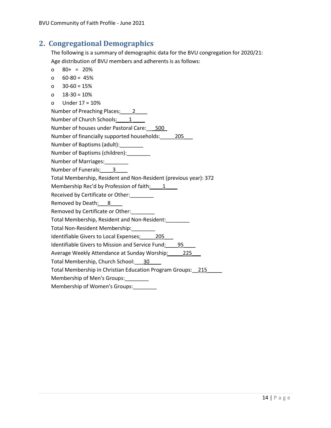# <span id="page-14-0"></span>**2. Congregational Demographics**

The following is a summary of demographic data for the BVU congregation for 2020/21: Age distribution of BVU members and adherents is as follows:

- o 80+ = 20%
- o 60-80 = 45%
- o 30-60 = 15%
- o 18-30 = 10%
- o Under 17 = 10%

Number of Preaching Places: 2\_\_\_\_

Number of Church Schools:  $\qquad 1$ 

Number of houses under Pastoral Care: 500

Number of financially supported households: 205

Number of Baptisms (adult):\_\_\_\_\_\_\_\_\_

- Number of Baptisms (children):\_\_\_\_\_\_\_\_
- Number of Marriages:\_\_\_\_\_\_\_\_
- Number of Funerals: 3

Total Membership, Resident and Non-Resident (previous year): 372

Membership Rec'd by Profession of faith: 1

Received by Certificate or Other:

Removed by Death: 8

Removed by Certificate or Other:

Total Membership, Resident and Non-Resident:\_\_\_\_\_\_\_\_

Total Non-Resident Membership:\_\_\_\_\_\_\_\_

Identifiable Givers to Local Expenses: 205

Identifiable Givers to Mission and Service Fund: 95

Average Weekly Attendance at Sunday Worship: 225

Total Membership, Church School: 30

Total Membership in Christian Education Program Groups:\_\_215\_\_\_\_\_

Membership of Men's Groups:\_\_\_\_\_\_\_\_

Membership of Women's Groups: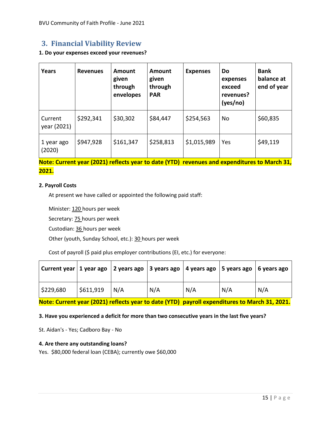# <span id="page-15-0"></span>**3. Financial Viability Review**

#### **1. Do your expenses exceed your revenues?**

| <b>Years</b>           | <b>Revenues</b> | Amount<br>given<br>through<br>envelopes | <b>Amount</b><br>given<br>through<br><b>PAR</b> | <b>Expenses</b> | Do<br>expenses<br>exceed<br>revenues?<br>(yes/no) | <b>Bank</b><br>balance at<br>end of year |
|------------------------|-----------------|-----------------------------------------|-------------------------------------------------|-----------------|---------------------------------------------------|------------------------------------------|
| Current<br>year (2021) | \$292,341       | \$30,302                                | \$84,447                                        | \$254,563       | No                                                | \$60,835                                 |
| 1 year ago<br>(2020)   | \$947,928       | \$161,347                               | \$258,813                                       | \$1,015,989     | Yes                                               | \$49,119                                 |

# **Note: Current year (2021) reflects year to date (YTD) revenues and expenditures to March 31, 2021.**

#### **2. Payroll Costs**

At present we have called or appointed the following paid staff:

Minister: 120 hours per week

Secretary: **75** hours per week

Custodian: 36 hours per week

Other (youth, Sunday School, etc.): 30 hours per week

Cost of payroll (\$ paid plus employer contributions (EI, etc.) for everyone:

| Current year   1 year ago   2 years ago   3 years ago   4 years ago   5 years ago   6 years ago |           |     |     |     |     |     |
|-------------------------------------------------------------------------------------------------|-----------|-----|-----|-----|-----|-----|
| \$229,680                                                                                       | \$611,919 | N/A | N/A | N/A | N/A | N/A |

**Note: Current year (2021) reflects year to date (YTD) payroll expenditures to March 31, 2021.**

#### **3. Have you experienced a deficit for more than two consecutive years in the last five years?**

St. Aidan's - Yes; Cadboro Bay - No

#### **4. Are there any outstanding loans?**

Yes. \$80,000 federal loan (CEBA); currently owe \$60,000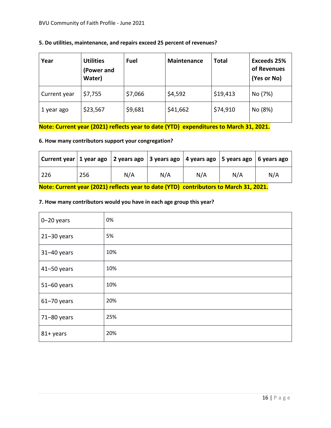| 5. Do utilities, maintenance, and repairs exceed 25 percent of revenues? |  |  |
|--------------------------------------------------------------------------|--|--|
|--------------------------------------------------------------------------|--|--|

| Year         | <b>Utilities</b><br>(Power and<br>Water) | <b>Fuel</b> | <b>Maintenance</b> | <b>Total</b> | <b>Exceeds 25%</b><br>of Revenues<br>(Yes or No) |
|--------------|------------------------------------------|-------------|--------------------|--------------|--------------------------------------------------|
| Current year | \$7,755                                  | \$7,066     | \$4,592            | \$19,413     | No (7%)                                          |
| 1 year ago   | \$23,567                                 | \$9,681     | \$41,662           | \$74,910     | No (8%)                                          |

**Note: Current year (2021) reflects year to date (YTD) expenditures to March 31, 2021.**

# **6. How many contributors support your congregation?**

| Current year   1 year ago   2 years ago   3 years ago   4 years ago   5 years ago   6 years ago |     |     |     |     |     |     |  |  |
|-------------------------------------------------------------------------------------------------|-----|-----|-----|-----|-----|-----|--|--|
| 226                                                                                             | 256 | N/A | N/A | N/A | N/A | N/A |  |  |
| Note: Current year (2021) reflects year to date (YTD) contributors to March 31, 2021.           |     |     |     |     |     |     |  |  |

# **7. How many contributors would you have in each age group this year?**

| $0 - 20$ years  | 0%  |
|-----------------|-----|
| $21 - 30$ years | 5%  |
| $31 - 40$ years | 10% |
| $41 - 50$ years | 10% |
| 51-60 years     | 10% |
| $61 - 70$ years | 20% |
| 71-80 years     | 25% |
| 81+ years       | 20% |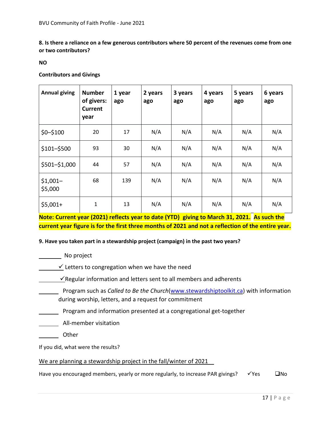**8. Is there a reliance on a few generous contributors where 50 percent of the revenues come from one or two contributors?**

**NO**

**Contributors and Givings**

| <b>Annual giving</b> | <b>Number</b><br>of givers:<br><b>Current</b><br>year | 1 year<br>ago | 2 years<br>ago | 3 years<br>ago | 4 years<br>ago | 5 years<br>ago | 6 years<br>ago |
|----------------------|-------------------------------------------------------|---------------|----------------|----------------|----------------|----------------|----------------|
| $$0 - $100$          | 20                                                    | 17            | N/A            | N/A            | N/A            | N/A            | N/A            |
| $$101 - $500$        | 93                                                    | 30            | N/A            | N/A            | N/A            | N/A            | N/A            |
| \$501-\$1,000        | 44                                                    | 57            | N/A            | N/A            | N/A            | N/A            | N/A            |
| $$1,001-$<br>\$5,000 | 68                                                    | 139           | N/A            | N/A            | N/A            | N/A            | N/A            |
| $$5,001+$            | $\mathbf{1}$                                          | 13            | N/A            | N/A            | N/A            | N/A            | N/A            |

**Note: Current year (2021) reflects year to date (YTD) giving to March 31, 2021. As such the current year figure is for the first three months of 2021 and not a reflection of the entire year.**

#### **9. Have you taken part in a stewardship project (campaign) in the past two years?**

No project

 $\sqrt{\ }$  Letters to congregation when we have the need

 $\checkmark$ Regular information and letters sent to all members and adherents

- Program such as *Called to Be the Church*[\(www.stewardshiptoolkit.ca\)](http://www.stewardshiptoolkit.ca/called) with information during worship, letters, and a request for commitment
- **Program and information presented at a congregational get-together**

**All-member visitation** 

Other

If you did, what were the results?

#### We are planning a stewardship project in the fall/winter of 2021

Have you encouraged members, yearly or more regularly, to increase PAR givings?  $\checkmark$  Yes □No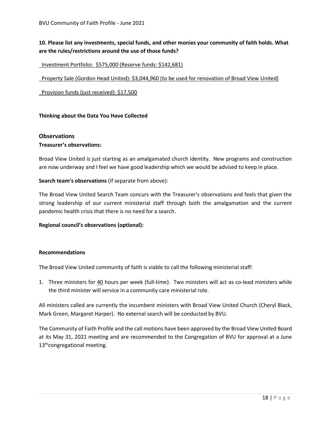# **10. Please list any investments, special funds, and other monies your community of faith holds. What are the rules/restrictions around the use of those funds?**

#### Investment Portfolio: \$575,000 (Reserve funds: \$142,681)

Property Sale (Gordon Head United): \$3,044,960 (to be used for renovation of Broad View United)

Provision funds (just received): \$17,500

#### **Thinking about the Data You Have Collected**

#### **Observations**

#### **Treasurer's observations:**

Broad View United is just starting as an amalgamated church identity. New programs and construction are now underway and I feel we have good leadership which we would be advised to keep in place.

#### **Search team's observations** (if separate from above):

The Broad View United Search Team concurs with the Treasurer's observations and feels that given the strong leadership of our current ministerial staff through both the amalgamation and the current pandemic health crisis that there is no need for a search.

#### **Regional council's observations (optional):**

#### **Recommendations**

The Broad View United community of faith is viable to call the following ministerial staff:

1. Three ministers for 40 hours per week (full-time). Two ministers will act as co-lead ministers while the third minister will service in a community care ministerial role.

All ministers called are currently the incumbent ministers with Broad View United Church (Cheryl Black, Mark Green, Margaret Harper). No external search will be conducted by BVU.

The Community of Faith Profile and the call motions have been approved by the Broad View United Board at its May 31, 2021 meeting and are recommended to the Congregation of BVU for approval at a June 13<sup>th</sup>congregational meeting.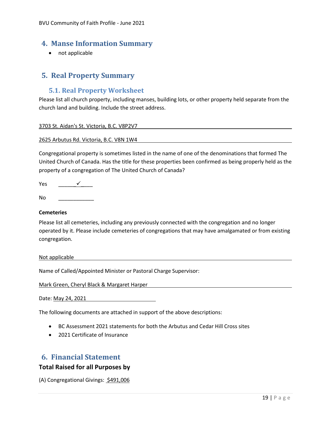# <span id="page-19-0"></span>**4. Manse Information Summary**

• not applicable

# <span id="page-19-1"></span>**5. Real Property Summary**

# <span id="page-19-2"></span>**5.1. Real Property Worksheet**

Please list all church property, including manses, building lots, or other property held separate from the church land and building. Include the street address.

3703 St. Aidan's St. Victoria, B.C. V8P2V7

2625 Arbutus Rd. Victoria, B.C. V8N 1W4

Congregational property is sometimes listed in the name of one of the denominations that formed The United Church of Canada. Has the title for these properties been confirmed as being properly held as the property of a congregation of The United Church of Canada?

Yes <del>✓</del>

 $No$ 

#### **Cemeteries**

Please list all cemeteries, including any previously connected with the congregation and no longer operated by it. Please include cemeteries of congregations that may have amalgamated or from existing congregation.

Not applicable

Name of Called/Appointed Minister or Pastoral Charge Supervisor:

Mark Green, Cheryl Black & Margaret Harper

Date: May 24, 2021

The following documents are attached in support of the above descriptions:

- BC Assessment 2021 statements for both the Arbutus and Cedar Hill Cross sites
- 2021 Certificate of Insurance

# <span id="page-19-3"></span>**6. Financial Statement**

#### **Total Raised for all Purposes by**

(A) Congregational Givings: \$491,006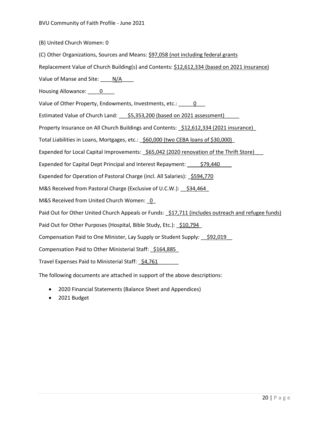(B) United Church Women: 0

(C) Other Organizations, Sources and Means: \$97,058 (not including federal grants

Replacement Value of Church Building(s) and Contents: \$12,612,334 (based on 2021 insurance)

Value of Manse and Site:  $N/A$ 

Housing Allowance: 0

Value of Other Property, Endowments, Investments, etc.: 0

Estimated Value of Church Land: \_\_\_\_ \$5,353,200 (based on 2021 assessment)

Property Insurance on All Church Buildings and Contents: \$12,612,334 (2021 insurance)

Total Liabilities in Loans, Mortgages, etc.: \$60,000 (two CEBA loans of \$30,000)

Expended for Local Capital Improvements:  $$65,042$  (2020 renovation of the Thrift Store)

Expended for Capital Dept Principal and Interest Repayment: \$79,440

Expended for Operation of Pastoral Charge (incl. All Salaries): \$594,770

M&S Received from Pastoral Charge (Exclusive of U.C.W.): \$34,464

M&S Received from United Church Women: 0

Paid Out for Other United Church Appeals or Funds: \$17,711 (includes outreach and refugee funds)

Paid Out for Other Purposes (Hospital, Bible Study, Etc.): 510,794

Compensation Paid to One Minister, Lay Supply or Student Supply: \$92,019

Compensation Paid to Other Ministerial Staff: \$164,885

Travel Expenses Paid to Ministerial Staff: \$4,761

The following documents are attached in support of the above descriptions:

- 2020 Financial Statements (Balance Sheet and Appendices)
- 2021 Budget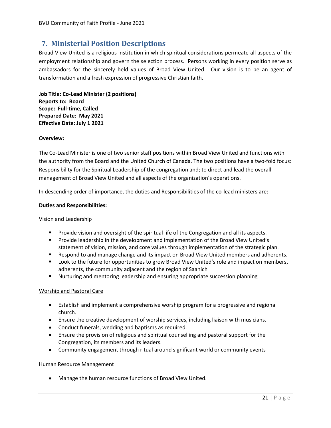# <span id="page-21-0"></span>**7. Ministerial Position Descriptions**

Broad View United is a religious institution in which spiritual considerations permeate all aspects of the employment relationship and govern the selection process. Persons working in every position serve as ambassadors for the sincerely held values of Broad View United. Our vision is to be an agent of transformation and a fresh expression of progressive Christian faith.

**Job Title: Co-Lead Minister (2 positions) Reports to: Board Scope: Full-time, Called Prepared Date: May 2021 Effective Date: July 1 2021**

#### **Overview:**

The Co-Lead Minister is one of two senior staff positions within Broad View United and functions with the authority from the Board and the United Church of Canada. The two positions have a two-fold focus: Responsibility for the Spiritual Leadership of the congregation and; to direct and lead the overall management of Broad View United and all aspects of the organization's operations.

In descending order of importance, the duties and Responsibilities of the co-lead ministers are:

#### **Duties and Responsibilities:**

#### Vision and Leadership

- Provide vision and oversight of the spiritual life of the Congregation and all its aspects.
- Provide leadership in the development and implementation of the Broad View United's statement of vision, mission, and core values through implementation of the strategic plan.
- Respond to and manage change and its impact on Broad View United members and adherents.
- Look to the future for opportunities to grow Broad View United's role and impact on members, adherents, the community adjacent and the region of Saanich
- Nurturing and mentoring leadership and ensuring appropriate succession planning

#### Worship and Pastoral Care

- Establish and implement a comprehensive worship program for a progressive and regional church.
- Ensure the creative development of worship services, including liaison with musicians.
- Conduct funerals, wedding and baptisms as required.
- Ensure the provision of religious and spiritual counselling and pastoral support for the Congregation, its members and its leaders.
- Community engagement through ritual around significant world or community events

#### Human Resource Management

• Manage the human resource functions of Broad View United.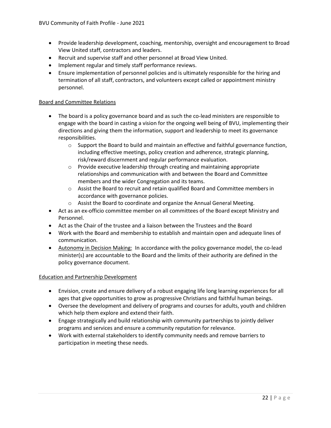- Provide leadership development, coaching, mentorship, oversight and encouragement to Broad View United staff, contractors and leaders.
- Recruit and supervise staff and other personnel at Broad View United.
- Implement regular and timely staff performance reviews.
- Ensure implementation of personnel policies and is ultimately responsible for the hiring and termination of all staff, contractors, and volunteers except called or appointment ministry personnel.

#### Board and Committee Relations

- The board is a policy governance board and as such the co-lead ministers are responsible to engage with the board in casting a vision for the ongoing well being of BVU, implementing their directions and giving them the information, support and leadership to meet its governance responsibilities.
	- $\circ$  Support the Board to build and maintain an effective and faithful governance function, including effective meetings, policy creation and adherence, strategic planning, risk/reward discernment and regular performance evaluation.
	- $\circ$  Provide executive leadership through creating and maintaining appropriate relationships and communication with and between the Board and Committee members and the wider Congregation and its teams.
	- $\circ$  Assist the Board to recruit and retain qualified Board and Committee members in accordance with governance policies.
	- o Assist the Board to coordinate and organize the Annual General Meeting.
- Act as an ex-officio committee member on all committees of the Board except Ministry and Personnel.
- Act as the Chair of the trustee and a liaison between the Trustees and the Board
- Work with the Board and membership to establish and maintain open and adequate lines of communication.
- Autonomy in Decision Making: In accordance with the policy governance model, the co-lead minister(s) are accountable to the Board and the limits of their authority are defined in the policy governance document.

#### Education and Partnership Development

- Envision, create and ensure delivery of a robust engaging life long learning experiences for all ages that give opportunities to grow as progressive Christians and faithful human beings.
- Oversee the development and delivery of programs and courses for adults, youth and children which help them explore and extend their faith.
- Engage strategically and build relationship with community partnerships to jointly deliver programs and services and ensure a community reputation for relevance.
- Work with external stakeholders to identify community needs and remove barriers to participation in meeting these needs.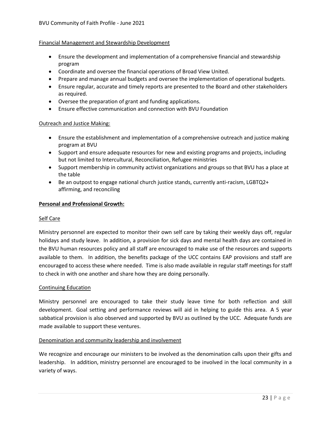#### Financial Management and Stewardship Development

- Ensure the development and implementation of a comprehensive financial and stewardship program
- Coordinate and oversee the financial operations of Broad View United.
- Prepare and manage annual budgets and oversee the implementation of operational budgets.
- Ensure regular, accurate and timely reports are presented to the Board and other stakeholders as required.
- Oversee the preparation of grant and funding applications.
- Ensure effective communication and connection with BVU Foundation

#### Outreach and Justice Making:

- Ensure the establishment and implementation of a comprehensive outreach and justice making program at BVU
- Support and ensure adequate resources for new and existing programs and projects, including but not limited to Intercultural, Reconciliation, Refugee ministries
- Support membership in community activist organizations and groups so that BVU has a place at the table
- Be an outpost to engage national church justice stands, currently anti-racism, LGBTQ2+ affirming, and reconciling

#### **Personal and Professional Growth:**

#### Self Care

Ministry personnel are expected to monitor their own self care by taking their weekly days off, regular holidays and study leave. In addition, a provision for sick days and mental health days are contained in the BVU human resources policy and all staff are encouraged to make use of the resources and supports available to them. In addition, the benefits package of the UCC contains EAP provisions and staff are encouraged to access these where needed. Time is also made available in regular staff meetings for staff to check in with one another and share how they are doing personally.

#### Continuing Education

Ministry personnel are encouraged to take their study leave time for both reflection and skill development. Goal setting and performance reviews will aid in helping to guide this area. A 5 year sabbatical provision is also observed and supported by BVU as outlined by the UCC. Adequate funds are made available to support these ventures.

#### Denomination and community leadership and involvement

We recognize and encourage our ministers to be involved as the denomination calls upon their gifts and leadership. In addition, ministry personnel are encouraged to be involved in the local community in a variety of ways.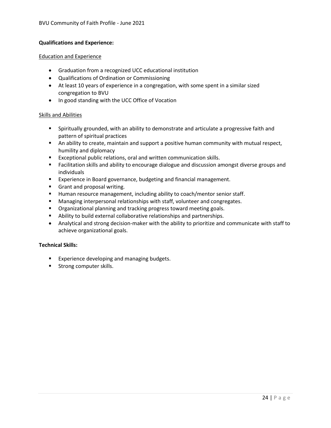#### **Qualifications and Experience:**

#### Education and Experience

- Graduation from a recognized UCC educational institution
- Qualifications of Ordination or Commissioning
- At least 10 years of experience in a congregation, with some spent in a similar sized congregation to BVU
- In good standing with the UCC Office of Vocation

#### Skills and Abilities

- Spiritually grounded, with an ability to demonstrate and articulate a progressive faith and pattern of spiritual practices
- An ability to create, maintain and support a positive human community with mutual respect, humility and diplomacy
- Exceptional public relations, oral and written communication skills.
- Facilitation skills and ability to encourage dialogue and discussion amongst diverse groups and individuals
- Experience in Board governance, budgeting and financial management.
- **■** Grant and proposal writing.
- Human resource management, including ability to coach/mentor senior staff.
- Managing interpersonal relationships with staff, volunteer and congregates.
- Organizational planning and tracking progress toward meeting goals.
- Ability to build external collaborative relationships and partnerships.
- Analytical and strong decision-maker with the ability to prioritize and communicate with staff to achieve organizational goals.

#### **Technical Skills:**

- Experience developing and managing budgets.
- **■** Strong computer skills.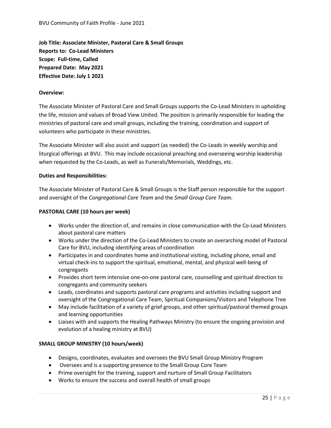**Job Title: Associate Minister, Pastoral Care & Small Groups Reports to: Co-Lead Ministers Scope: Full-time, Called Prepared Date: May 2021 Effective Date: July 1 2021**

#### **Overview:**

The Associate Minister of Pastoral Care and Small Groups supports the Co-Lead Ministers in upholding the life, mission and values of Broad View United. The position is primarily responsible for leading the ministries of pastoral care and small groups, including the training, coordination and support of volunteers who participate in these ministries.

The Associate Minister will also assist and support (as needed) the Co-Leads in weekly worship and liturgical offerings at BVU. This may include occasional preaching and overseeing worship leadership when requested by the Co-Leads, as well as Funerals/Memorials, Weddings, etc.

#### **Duties and Responsibilities:**

The Associate Minister of Pastoral Care & Small Groups is the Staff person responsible for the support and oversight of the *Congregational Care Team* and the *Small Group Core Team.*

#### **PASTORAL CARE (10 hours per week)**

- Works under the direction of, and remains in close communication with the Co-Lead Ministers about pastoral care matters
- Works under the direction of the Co-Lead Ministers to create an overarching model of Pastoral Care for BVU, including identifying areas of coordination
- Participates in and coordinates home and institutional visiting, including phone, email and virtual check-ins to support the spiritual, emotional, mental, and physical well-being of congregants
- Provides short term intensive one-on-one pastoral care, counselling and spiritual direction to congregants and community seekers
- Leads, coordinates and supports pastoral care programs and activities including support and oversight of the Congregational Care Team, Spiritual Companions/Visitors and Telephone Tree
- May include facilitation of a variety of grief groups, and other spiritual/pastoral themed groups and learning opportunities
- Liaises with and supports the Healing Pathways Ministry (to ensure the ongoing provision and evolution of a healing ministry at BVU)

#### **SMALL GROUP MINISTRY (10 hours/week)**

- Designs, coordinates, evaluates and oversees the BVU Small Group Ministry Program
- Oversees and is a supporting presence to the Small Group Core Team
- Prime oversight for the training, support and nurture of Small Group Facilitators
- Works to ensure the success and overall health of small groups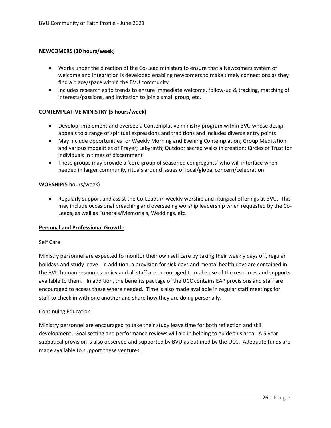#### **NEWCOMERS (10 hours/week)**

- Works under the direction of the Co-Lead ministers to ensure that a Newcomers system of welcome and integration is developed enabling newcomers to make timely connections as they find a place/space within the BVU community
- Includes research as to trends to ensure immediate welcome, follow-up & tracking, matching of interests/passions, and invitation to join a small group, etc.

#### **CONTEMPLATIVE MINISTRY (5 hours/week)**

- Develop, implement and oversee a Contemplative ministry program within BVU whose design appeals to a range of spiritual expressions and traditions and includes diverse entry points
- May include opportunities for Weekly Morning and Evening Contemplation; Group Meditation and various modalities of Prayer; Labyrinth; Outdoor sacred walks in creation; Circles of Trust for individuals in times of discernment
- These groups may provide a 'core group of seasoned congregants' who will interface when needed in larger community rituals around issues of local/global concern/celebration

#### **WORSHIP**(5 hours/week)

• Regularly support and assist the Co-Leads in weekly worship and liturgical offerings at BVU. This may include occasional preaching and overseeing worship leadership when requested by the Co-Leads, as well as Funerals/Memorials, Weddings, etc.

#### **Personal and Professional Growth:**

#### Self Care

Ministry personnel are expected to monitor their own self care by taking their weekly days off, regular holidays and study leave. In addition, a provision for sick days and mental health days are contained in the BVU human resources policy and all staff are encouraged to make use of the resources and supports available to them. In addition, the benefits package of the UCC contains EAP provisions and staff are encouraged to access these where needed. Time is also made available in regular staff meetings for staff to check in with one another and share how they are doing personally.

#### Continuing Education

Ministry personnel are encouraged to take their study leave time for both reflection and skill development. Goal setting and performance reviews will aid in helping to guide this area. A 5 year sabbatical provision is also observed and supported by BVU as outlined by the UCC. Adequate funds are made available to support these ventures.